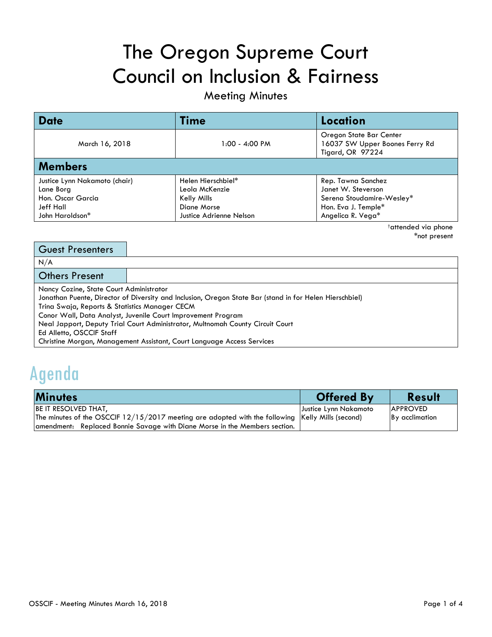# The Oregon Supreme Court Council on Inclusion & Fairness

### Meeting Minutes

| <b>Date</b>                      | Time                    | Location                                                                      |  |
|----------------------------------|-------------------------|-------------------------------------------------------------------------------|--|
| March 16, 2018                   | $1:00 - 4:00 PM$        | Oregon State Bar Center<br>16037 SW Upper Boones Ferry Rd<br>Tigard, OR 97224 |  |
| <b>Members</b>                   |                         |                                                                               |  |
| Justice Lynn Nakamoto (chair)    | Helen Hierschbiel*      | Rep. Tawna Sanchez                                                            |  |
| Lane Borg                        | Leola McKenzie          | Janet W. Steverson                                                            |  |
| Hon. Oscar Garcia<br>Kelly Mills |                         | Serena Stoudamire-Wesley*                                                     |  |
| Jeff Hall<br>Diane Morse         |                         | Hon. Eva J. Temple*                                                           |  |
| John Haroldson*                  | Justice Adrienne Nelson | Angelica R. Vega*                                                             |  |

†attended via phone \*not present

| <b>Guest Presenters</b>                                                                                               |                                                                                                                                                                                                                                                                                                                                     |
|-----------------------------------------------------------------------------------------------------------------------|-------------------------------------------------------------------------------------------------------------------------------------------------------------------------------------------------------------------------------------------------------------------------------------------------------------------------------------|
| N/A                                                                                                                   |                                                                                                                                                                                                                                                                                                                                     |
| <b>Others Present</b>                                                                                                 |                                                                                                                                                                                                                                                                                                                                     |
| Nancy Cozine, State Court Administrator<br>Trina Swaja, Reports & Statistics Manager CECM<br>Ed Alletto, OSCCIF Staff | Jonathan Puente, Director of Diversity and Inclusion, Oregon State Bar (stand in for Helen Hierschbiel)<br>Conor Wall, Data Analyst, Juvenile Court Improvement Program<br>Neal Japport, Deputy Trial Court Administrator, Multnomah County Circuit Court<br>Christine Morgan, Management Assistant, Court Language Access Services |

### Agenda

| <b>Minutes</b>                                                                                   | <b>Offered By</b>     | <b>Result</b>   |
|--------------------------------------------------------------------------------------------------|-----------------------|-----------------|
| <b>BE IT RESOLVED THAT,</b>                                                                      | Justice Lynn Nakamoto | <b>APPROVED</b> |
| The minutes of the OSCCIF 12/15/2017 meeting are adopted with the following Kelly Mills (second) |                       | By acclimation  |
| amendment: Replaced Bonnie Savage with Diane Morse in the Members section.                       |                       |                 |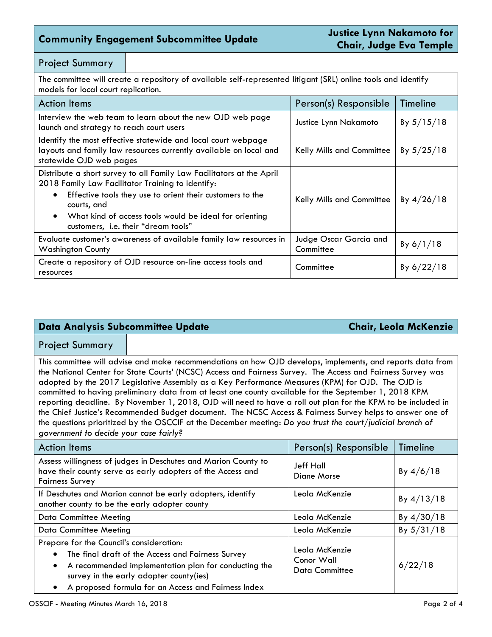### **Community Engagement Subcommittee Update Justice Lynn Nakamoto for**

#### Project Summary

The committee will create a repository of available self-represented litigant (SRL) online tools and identify models for local court replication.

| <b>Action Items</b>                                                                                                                                                                                                                                                                                                               | Person(s) Responsible               | Timeline     |
|-----------------------------------------------------------------------------------------------------------------------------------------------------------------------------------------------------------------------------------------------------------------------------------------------------------------------------------|-------------------------------------|--------------|
| Interview the web team to learn about the new OJD web page<br>launch and strategy to reach court users                                                                                                                                                                                                                            | Justice Lynn Nakamoto               | By $5/15/18$ |
| Identify the most effective statewide and local court webpage<br>layouts and family law resources currently available on local and<br>statewide OJD web pages                                                                                                                                                                     | Kelly Mills and Committee           | By $5/25/18$ |
| Distribute a short survey to all Family Law Facilitators at the April<br>2018 Family Law Facilitator Training to identify:<br>Effective tools they use to orient their customers to the<br>$\bullet$<br>courts, and<br>What kind of access tools would be ideal for orienting<br>$\bullet$<br>customers, i.e. their "dream tools" | Kelly Mills and Committee           | By $4/26/18$ |
| Evaluate customer's awareness of available family law resources in<br><b>Washington County</b>                                                                                                                                                                                                                                    | Judge Oscar Garcia and<br>Committee | By $6/1/18$  |
| Create a repository of OJD resource on-line access tools and<br>resources                                                                                                                                                                                                                                                         | Committee                           | By $6/22/18$ |

#### **Data Analysis Subcommittee Update Chair, Leola McKenzie**

#### Project Summary

This committee will advise and make recommendations on how OJD develops, implements, and reports data from the National Center for State Courts' (NCSC) Access and Fairness Survey. The Access and Fairness Survey was adopted by the 2017 Legislative Assembly as a Key Performance Measures (KPM) for OJD. The OJD is committed to having preliminary data from at least one county available for the September 1, 2018 KPM reporting deadline. By November 1, 2018, OJD will need to have a roll out plan for the KPM to be included in the Chief Justice's Recommended Budget document. The NCSC Access & Fairness Survey helps to answer one of the questions prioritized by the OSCCIF at the December meeting: *Do you trust the court/judicial branch of government to decide your case fairly?*

| <b>Action Items</b>                                                                                                                                                                                                                                                               | Person(s) Responsible                                 | Timeline     |
|-----------------------------------------------------------------------------------------------------------------------------------------------------------------------------------------------------------------------------------------------------------------------------------|-------------------------------------------------------|--------------|
| Assess willingness of judges in Deschutes and Marion County to<br>have their county serve as early adopters of the Access and<br><b>Fairness Survey</b>                                                                                                                           | Jeff Hall<br>Diane Morse                              | By $4/6/18$  |
| If Deschutes and Marion cannot be early adopters, identify<br>another county to be the early adopter county                                                                                                                                                                       | Leola McKenzie                                        | By $4/13/18$ |
| <b>Data Committee Meeting</b>                                                                                                                                                                                                                                                     | Leola McKenzie                                        | By $4/30/18$ |
| <b>Data Committee Meeting</b>                                                                                                                                                                                                                                                     | Leola McKenzie                                        | By $5/31/18$ |
| Prepare for the Council's consideration:<br>The final draft of the Access and Fairness Survey<br>$\bullet$<br>A recommended implementation plan for conducting the<br>$\bullet$<br>survey in the early adopter county(ies)<br>A proposed formula for an Access and Fairness Index | Leola McKenzie<br>Conor Wall<br><b>Data Committee</b> | 6/22/18      |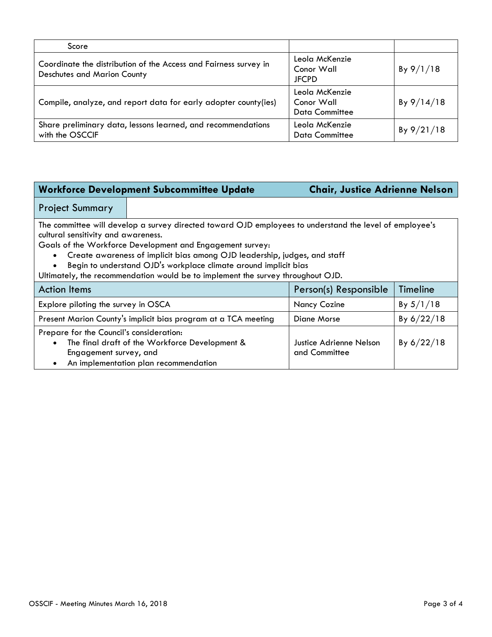| Score                                                                                                  |                                                       |            |
|--------------------------------------------------------------------------------------------------------|-------------------------------------------------------|------------|
| Coordinate the distribution of the Access and Fairness survey in<br><b>Deschutes and Marion County</b> | Leola McKenzie<br>Conor Wall<br><b>JFCPD</b>          | By 9/1/18  |
| Compile, analyze, and report data for early adopter county(ies)                                        | Leola McKenzie<br>Conor Wall<br><b>Data Committee</b> | By 9/14/18 |
| Share preliminary data, lessons learned, and recommendations<br>with the OSCCIF                        | Leola McKenzie<br><b>Data Committee</b>               | By 9/21/18 |

#### **Workforce Development Subcommittee Update Chair, Justice Adrienne Nelson**

#### Project Summary

The committee will develop a survey directed toward OJD employees to understand the level of employee's cultural sensitivity and awareness.

Goals of the Workforce Development and Engagement survey:

- Create awareness of implicit bias among OJD leadership, judges, and staff
- Begin to understand OJD's workplace climate around implicit bias
- Ultimately, the recommendation would be to implement the survey throughout OJD.

| <b>Action Items</b>                                                                                                                                                        | Person(s) Responsible                    | Timeline     |
|----------------------------------------------------------------------------------------------------------------------------------------------------------------------------|------------------------------------------|--------------|
| Explore piloting the survey in OSCA                                                                                                                                        | <b>Nancy Cozine</b>                      | By $5/1/18$  |
| Present Marion County's implicit bias program at a TCA meeting                                                                                                             | Diane Morse                              | By $6/22/18$ |
| Prepare for the Council's consideration:<br>The final draft of the Workforce Development &<br>$\bullet$<br>Engagement survey, and<br>An implementation plan recommendation | Justice Adrienne Nelson<br>and Committee | By $6/22/18$ |